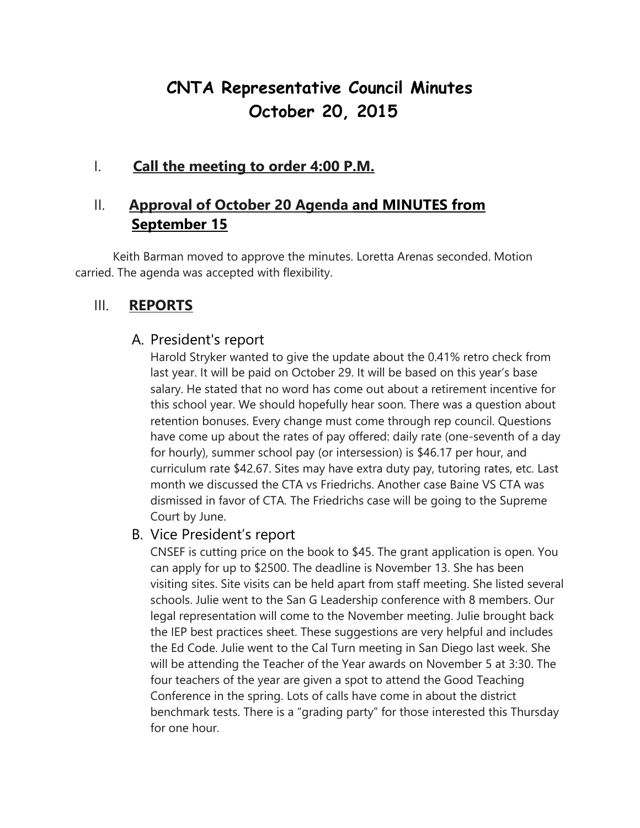# **CNTA Representative Council Minutes October 20, 2015**

# I. **Call the meeting to order 4:00 P.M.**

# II. **Approval of October 20 Agenda and MINUTES from September 15**

Keith Barman moved to approve the minutes. Loretta Arenas seconded. Motion carried. The agenda was accepted with flexibility.

# III. **REPORTS**

### A. President's report

Harold Stryker wanted to give the update about the 0.41% retro check from last year. It will be paid on October 29. It will be based on this year's base salary. He stated that no word has come out about a retirement incentive for this school year. We should hopefully hear soon. There was a question about retention bonuses. Every change must come through rep council. Questions have come up about the rates of pay offered: daily rate (one-seventh of a day for hourly), summer school pay (or intersession) is \$46.17 per hour, and curriculum rate \$42.67. Sites may have extra duty pay, tutoring rates, etc. Last month we discussed the CTA vs Friedrichs. Another case Baine VS CTA was dismissed in favor of CTA. The Friedrichs case will be going to the Supreme Court by June.

### B. Vice President's report

CNSEF is cutting price on the book to \$45. The grant application is open. You can apply for up to \$2500. The deadline is November 13. She has been visiting sites. Site visits can be held apart from staff meeting. She listed several schools. Julie went to the San G Leadership conference with 8 members. Our legal representation will come to the November meeting. Julie brought back the IEP best practices sheet. These suggestions are very helpful and includes the Ed Code. Julie went to the Cal Turn meeting in San Diego last week. She will be attending the Teacher of the Year awards on November 5 at 3:30. The four teachers of the year are given a spot to attend the Good Teaching Conference in the spring. Lots of calls have come in about the district benchmark tests. There is a "grading party" for those interested this Thursday for one hour.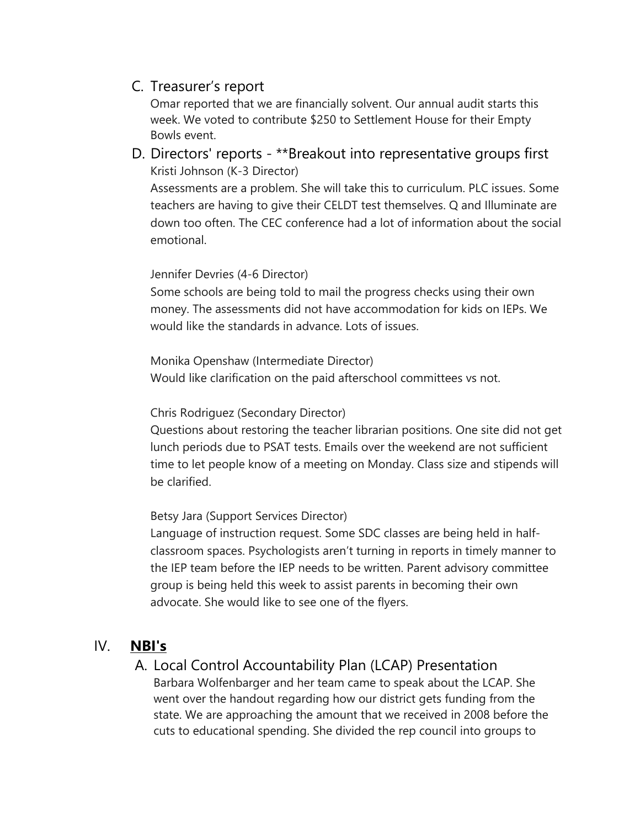# C. Treasurer's report

Omar reported that we are financially solvent. Our annual audit starts this week. We voted to contribute \$250 to Settlement House for their Empty Bowls event.

D. Directors' reports - \*\*Breakout into representative groups first Kristi Johnson (K-3 Director)

Assessments are a problem. She will take this to curriculum. PLC issues. Some teachers are having to give their CELDT test themselves. Q and Illuminate are down too often. The CEC conference had a lot of information about the social emotional.

#### Jennifer Devries (4-6 Director)

Some schools are being told to mail the progress checks using their own money. The assessments did not have accommodation for kids on IEPs. We would like the standards in advance. Lots of issues.

Monika Openshaw (Intermediate Director) Would like clarification on the paid afterschool committees vs not.

#### Chris Rodriguez (Secondary Director)

Questions about restoring the teacher librarian positions. One site did not get lunch periods due to PSAT tests. Emails over the weekend are not sufficient time to let people know of a meeting on Monday. Class size and stipends will be clarified.

Betsy Jara (Support Services Director)

Language of instruction request. Some SDC classes are being held in halfclassroom spaces. Psychologists aren't turning in reports in timely manner to the IEP team before the IEP needs to be written. Parent advisory committee group is being held this week to assist parents in becoming their own advocate. She would like to see one of the flyers.

### IV. **NBI's**

## A. Local Control Accountability Plan (LCAP) Presentation

Barbara Wolfenbarger and her team came to speak about the LCAP. She went over the handout regarding how our district gets funding from the state. We are approaching the amount that we received in 2008 before the cuts to educational spending. She divided the rep council into groups to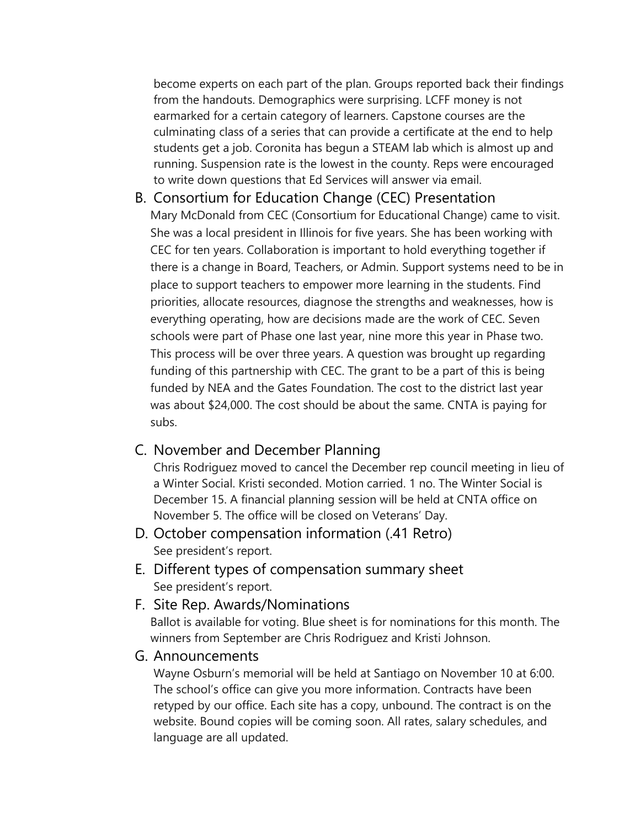become experts on each part of the plan. Groups reported back their findings from the handouts. Demographics were surprising. LCFF money is not earmarked for a certain category of learners. Capstone courses are the culminating class of a series that can provide a certificate at the end to help students get a job. Coronita has begun a STEAM lab which is almost up and running. Suspension rate is the lowest in the county. Reps were encouraged to write down questions that Ed Services will answer via email.

B. Consortium for Education Change (CEC) Presentation Mary McDonald from CEC (Consortium for Educational Change) came to visit. She was a local president in Illinois for five years. She has been working with CEC for ten years. Collaboration is important to hold everything together if there is a change in Board, Teachers, or Admin. Support systems need to be in place to support teachers to empower more learning in the students. Find priorities, allocate resources, diagnose the strengths and weaknesses, how is everything operating, how are decisions made are the work of CEC. Seven schools were part of Phase one last year, nine more this year in Phase two. This process will be over three years. A question was brought up regarding funding of this partnership with CEC. The grant to be a part of this is being funded by NEA and the Gates Foundation. The cost to the district last year was about \$24,000. The cost should be about the same. CNTA is paying for subs.

### C. November and December Planning

Chris Rodriguez moved to cancel the December rep council meeting in lieu of a Winter Social. Kristi seconded. Motion carried. 1 no. The Winter Social is December 15. A financial planning session will be held at CNTA office on November 5. The office will be closed on Veterans' Day.

- D. October compensation information (.41 Retro) See president's report.
- E. Different types of compensation summary sheet See president's report.
- F. Site Rep. Awards/Nominations

Ballot is available for voting. Blue sheet is for nominations for this month. The winners from September are Chris Rodriguez and Kristi Johnson.

G. Announcements

Wayne Osburn's memorial will be held at Santiago on November 10 at 6:00. The school's office can give you more information. Contracts have been retyped by our office. Each site has a copy, unbound. The contract is on the website. Bound copies will be coming soon. All rates, salary schedules, and language are all updated.